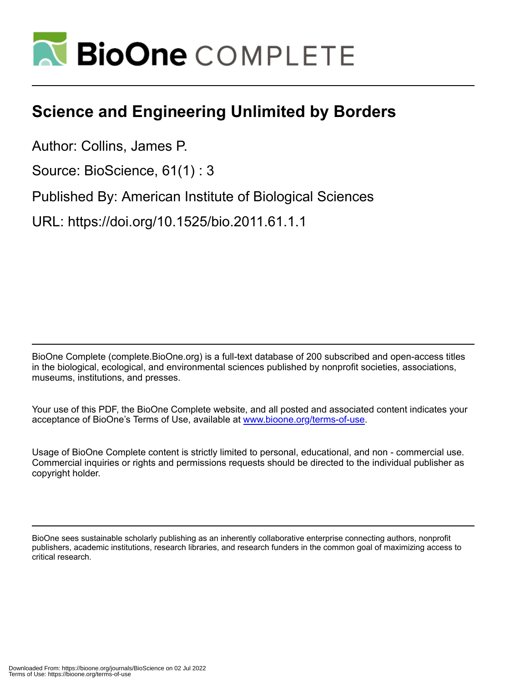

## **Science and Engineering Unlimited by Borders**

Author: Collins, James P.

Source: BioScience, 61(1) : 3

Published By: American Institute of Biological Sciences

URL: https://doi.org/10.1525/bio.2011.61.1.1

BioOne Complete (complete.BioOne.org) is a full-text database of 200 subscribed and open-access titles in the biological, ecological, and environmental sciences published by nonprofit societies, associations, museums, institutions, and presses.

Your use of this PDF, the BioOne Complete website, and all posted and associated content indicates your acceptance of BioOne's Terms of Use, available at www.bioone.org/terms-of-use.

Usage of BioOne Complete content is strictly limited to personal, educational, and non - commercial use. Commercial inquiries or rights and permissions requests should be directed to the individual publisher as copyright holder.

BioOne sees sustainable scholarly publishing as an inherently collaborative enterprise connecting authors, nonprofit publishers, academic institutions, research libraries, and research funders in the common goal of maximizing access to critical research.